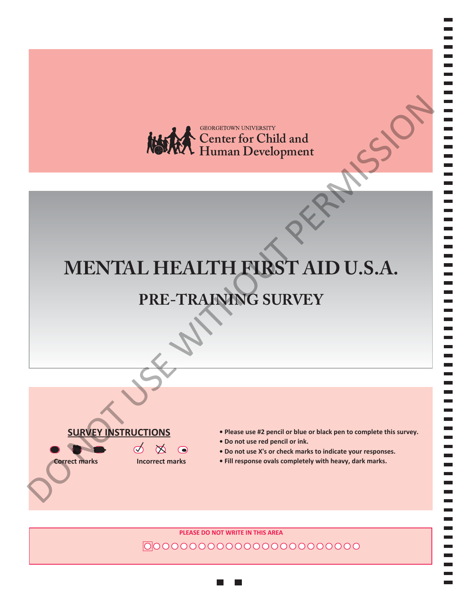

## **MENTAL HEALTH FIRST AID U.S.A. PRE-TRAINING SURVEY** MENTAL HEALTH FIRST AID U.S.A.<br>
PRE-TRAINING SURVEY<br>
SURVEY MSTRUCTIONS<br>
SURVEY MSTRUCTIONS<br>
SURVEY MSTRUCTIONS<br>
CONTRACTION CONTRACT PERMISSION CONTRACT AID U.S.A.<br>
PRE-TRAINING SURVEY<br>
CONTRACT AID U.S.A.<br>
PRE-TRAINING S



**• Please use #2 pencil or blue or black pen to complete this survey.**

=<br>=<br>=<br>=

- **Do not use red pencil or ink.**
- **Do not use X's or check marks to indicate your responses.**
- **Incorrect marks Fill response ovals completely with heavy, dark marks.**

**PLEASE DO NOT WRITE IN THIS AREA**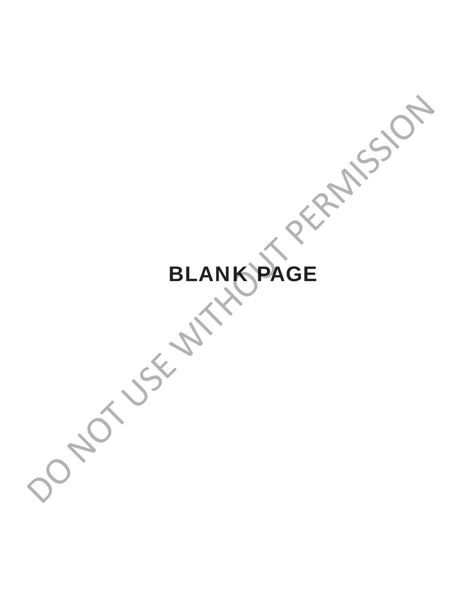BLANK PAGE DO NOT USE WITHOUT PERMISSION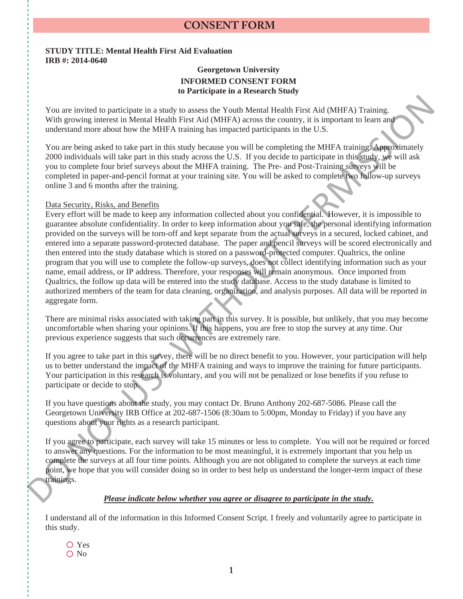### **STUDY TITLE: Mental Health First Aid Evaluation IRB #: 2014-0640**

### **Georgetown University INFORMED CONSENT FORM to Participate in a Research Study**

You are invited to participate in a study to assess the Youth Mental Health First Aid (MHFA) Training. With growing interest in Mental Health First Aid (MHFA) across the country, it is important to learn and understand more about how the MHFA training has impacted participants in the U.S.

You are being asked to take part in this study because you will be completing the MHFA training. Approximately 2000 individuals will take part in this study across the U.S. If you decide to participate in this study, we will ask you to complete four brief surveys about the MHFA training. The Pre- and Post-Training surveys will be completed in paper-and-pencil format at your training site. You will be asked to complete two follow-up surveys online 3 and 6 months after the training.

### Data Security, Risks, and Benefits

Every effort will be made to keep any information collected about you confidential. However, it is impossible to guarantee absolute confidentiality. In order to keep information about you safe, the personal identifying information provided on the surveys will be torn-off and kept separate from the actual surveys in a secured, locked cabinet, and entered into a separate password-protected database. The paper and pencil surveys will be scored electronically and then entered into the study database which is stored on a password-protected computer. Qualtrics, the online program that you will use to complete the follow-up surveys, does not collect identifying information such as your name, email address, or IP address. Therefore, your responses will remain anonymous. Once imported from Qualtrics, the follow up data will be entered into the study database. Access to the study database is limited to authorized members of the team for data cleaning, organization, and analysis purposes. All data will be reported in aggregate form. You are invited to participate in a study to assess the Youth Mental Health Hirst Aid (MHH/A) Training,<br>With growing interest on Mental Health First Aid (MHH/A) creation<br>(where the most of the particular hires and the MIF

There are minimal risks associated with taking part in this survey. It is possible, but unlikely, that you may become uncomfortable when sharing your opinions. If this happens, you are free to stop the survey at any time. Our previous experience suggests that such occurrences are extremely rare.

If you agree to take part in this survey, there will be no direct benefit to you. However, your participation will help us to better understand the impact of the MHFA training and ways to improve the training for future participants. Your participation in this research is voluntary, and you will not be penalized or lose benefits if you refuse to participate or decide to stop.

If you have questions about the study, you may contact Dr. Bruno Anthony 202-687-5086. Please call the Georgetown University IRB Office at 202-687-1506 (8:30am to 5:00pm, Monday to Friday) if you have any questions about your rights as a research participant.

If you agree to participate, each survey will take 15 minutes or less to complete. You will not be required or forced to answer any questions. For the information to be most meaningful, it is extremely important that you help us complete the surveys at all four time points. Although you are not obligated to complete the surveys at each time point, we hope that you will consider doing so in order to best help us understand the longer-term impact of these trainings.

### *Please indicate below whether you agree or disagree to participate in the study.*

I understand all of the information in this Informed Consent Script. I freely and voluntarily agree to participate in this study.

Yes O No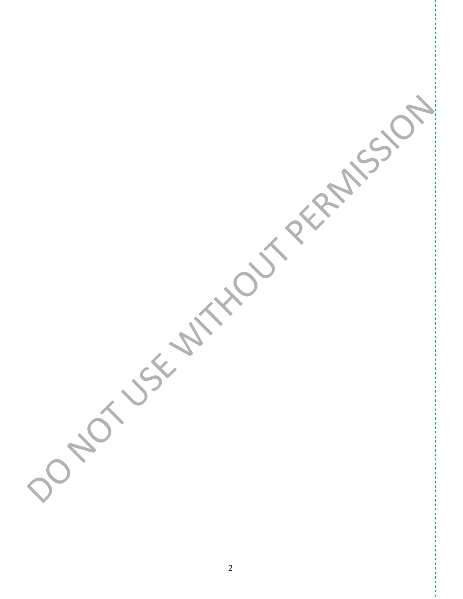DO NOT USE WITHOUT PERMISSION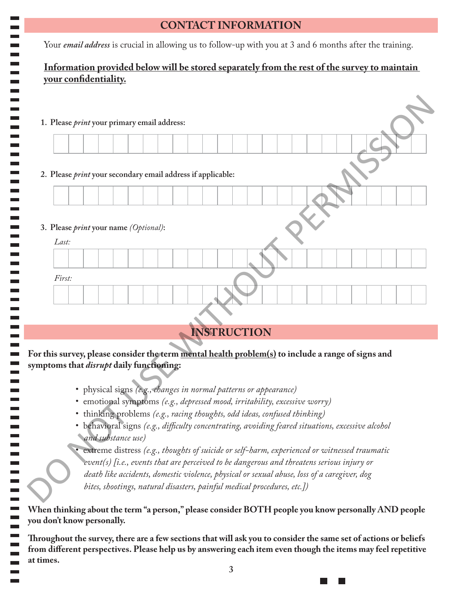### **CONTACT INFORMATION**

Your *email address* is crucial in allowing us to follow-up with you at 3 and 6 months after the training.

### **Information provided below will be stored separately from the rest of the survey to maintain your confidentiality.**

### **1. Please** *print* **your primary email address:**

---------------<br>-------------

------------

 $\equiv$ 

 $\overline{a}$ 

=======

| 1. Please <i>print</i> your primary email address:                                                                                                                     |  |
|------------------------------------------------------------------------------------------------------------------------------------------------------------------------|--|
|                                                                                                                                                                        |  |
| 2. Please <i>print</i> your secondary email address if applicable:                                                                                                     |  |
|                                                                                                                                                                        |  |
| 3. Please print your name (Optional):<br>Last:                                                                                                                         |  |
|                                                                                                                                                                        |  |
| First:                                                                                                                                                                 |  |
|                                                                                                                                                                        |  |
|                                                                                                                                                                        |  |
| <b>INSTRUCTION</b>                                                                                                                                                     |  |
| For this survey, please consider the term mental health problem(s) to include a range of signs and<br>symptoms that <i>disrupt</i> daily functioning:                  |  |
| · physical signs (e.g., changes in normal patterns or appearance)                                                                                                      |  |
| · emotional symptoms (e.g., depressed mood, irritability, excessive worry)                                                                                             |  |
| · thinking problems (e.g., racing thoughts, odd ideas, confused thinking)                                                                                              |  |
| · behavioral signs (e.g., difficulty concentrating, avoiding feared situations, excessive alcohol<br>and substance use)                                                |  |
| extreme distress (e.g., thoughts of suicide or self-harm, experienced or witnessed traumatic                                                                           |  |
| event(s) [i.e., events that are perceived to be dangerous and threatens serious injury or                                                                              |  |
| death like accidents, domestic violence, physical or sexual abuse, loss of a caregiver, dog<br>bites, shootings, natural disasters, painful medical procedures, etc.]) |  |

### **INSTRUCTION**

- physical signs (e.g., changes in normal patterns or appearance)
- emotional symptoms (e.g., depressed mood, irritability, excessive worry)
- thinking problems (e.g., racing thoughts, odd ideas, confused thinking)
- behavioral signs (e.g., difficulty concentrating, avoiding feared situations, excessive alcohol  *and substance use)*

**When thinking about the term "a person," please consider BOTH people you know personally AND people you don't know personally.**

**Throughout the survey, there are a few sections that will ask you to consider the same set of actions or beliefs from different perspectives. Please help us by answering each item even though the items may feel repetitive at times.**

**3**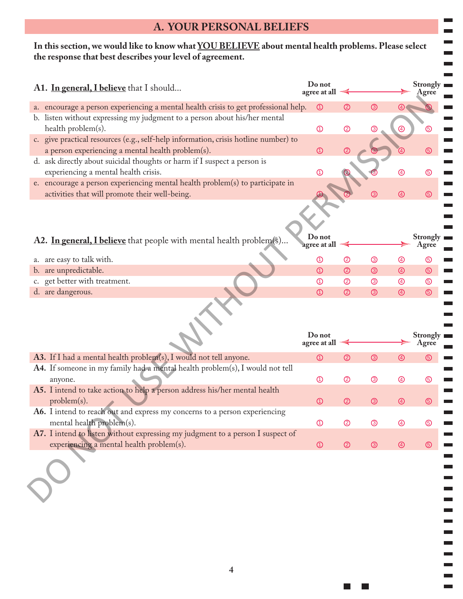### **A. YOUR PERSONAL BELIEFS**

m.

 $\overline{\phantom{0}}$ 

 $\sim$  $\sim$ 

 $\overline{\phantom{a}}$ ÷. m.

۰

L.

### **In this section, we would like to know what YOU BELIEVE about mental health problems. Please select the response that best describes your level of agreement.**

| A1. In general, I believe that I should                                             | Do not<br>agree at all |                |                |                | Strongly<br>Agree        |
|-------------------------------------------------------------------------------------|------------------------|----------------|----------------|----------------|--------------------------|
| a. encourage a person experiencing a mental health crisis to get professional help. | $\circledcirc$         | $\circledcirc$ | $\circledS$    | ④              |                          |
| b. listen without expressing my judgment to a person about his/her mental           |                        |                |                |                |                          |
| health problem(s).                                                                  | $\odot$                | $^{\circledR}$ |                |                | (5)                      |
| c. give practical resources (e.g., self-help information, crisis hotline number) to |                        |                |                |                |                          |
| a person experiencing a mental health problem(s).                                   | $^{\circledR}$         |                |                |                | ⑤                        |
| d. ask directly about suicidal thoughts or harm if I suspect a person is            |                        |                |                |                |                          |
| experiencing a mental health crisis.                                                | $^{\circledR}$         |                |                | ④              | 6                        |
| e. encourage a person experiencing mental health problem(s) to participate in       |                        |                |                |                |                          |
| activities that will promote their well-being.                                      |                        |                |                | $^{\circledR}$ | (5)                      |
| A2. In general, I believe that people with mental health problem(s)                 | Do not<br>agree at all |                |                |                | <b>Strongly</b><br>Agree |
| are easy to talk with.                                                              | $^{\circ}$             | ➁              | $\circledcirc$ | $^\circledR$   | க                        |
| b. are unpredictable.                                                               | $\circledcirc$         | $\circledcirc$ | $\circledS$    | $\circledA$    | $\circledS$              |
| get better with treatment.                                                          | $^{\circ}$             | $^{\circledR}$ | $\circledS$    | $\bigcirc$     | $\circledS$              |
| d. are dangerous.                                                                   | $\circledcirc$         | $\circledcirc$ | $\circledS$    | $\circledA$    | $\circledS$              |
|                                                                                     | Do not<br>agree at all |                |                |                | Strongly<br>Agree        |
| A3. If I had a mental health problem(s), I would not tell anyone.                   | $^{\circledR}$         | $^{\circledR}$ | $\circledS$    | $^{\circledR}$ | (5)                      |
| A4. If someone in my family had a mental health problem(s), I would not tell        |                        |                |                |                |                          |
| anyone.                                                                             | $^{\circledR}$         | $^{\circledR}$ | $\circledcirc$ | $^{\circledR}$ | (5)                      |
| A5. I intend to take action to help a person address his/her mental health          |                        |                |                |                |                          |
| problem(s).                                                                         | $^{\circledR}$         | $^{\circledR}$ | ③              | $^{\circledR}$ | (5)                      |
| A6. I intend to reach out and express my concerns to a person experiencing          |                        |                |                |                |                          |
| mental health problem(s).                                                           | $\odot$                | $^{\circledR}$ | ③              | $\circledA$    | ⑤                        |
| A7. I intend to listen without expressing my judgment to a person I suspect of      |                        |                |                |                |                          |
| experiencing a mental health problem(s).                                            | $^{\circledR}$         | $\circledcirc$ | $\circledS$    | $\circledcirc$ | $\circledS$              |
|                                                                                     |                        |                |                |                |                          |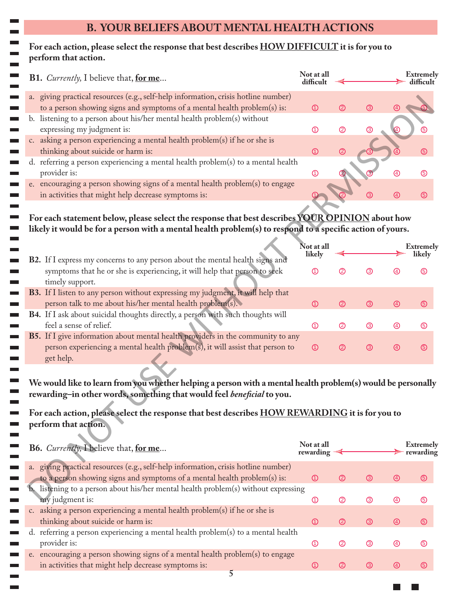### **B. YOUR BELIEFS ABOUT MENTAL HEALTH ACTIONS**

### **For each action, please select the response that best describes HOW DIFFICULT it is for you to perform that action.**

 $\sim$ 

**College The Co**  $\mathcal{L}_{\mathcal{A}}$  $\overline{\phantom{a}}$  $\mathcal{L}_{\mathcal{A}}$  $\mathcal{L}_{\mathcal{A}}$ 

| <b>B1.</b> Currently, I believe that, for me                                       | Not at all<br>difficult |   | <b>Extremely</b><br>difficult |
|------------------------------------------------------------------------------------|-------------------------|---|-------------------------------|
| a. giving practical resources (e.g., self-help information, crisis hotline number) |                         |   |                               |
| to a person showing signs and symptoms of a mental health problem(s) is:           |                         | ദ |                               |
| b. listening to a person about his/her mental health problem(s) without            |                         |   |                               |
| expressing my judgment is:                                                         |                         |   |                               |
| c. asking a person experiencing a mental health problem(s) if he or she is         |                         |   |                               |
| thinking about suicide or harm is:                                                 | (1)                     |   |                               |
| d. referring a person experiencing a mental health problem(s) to a mental health   |                         |   |                               |
| provider is:                                                                       |                         |   | (5                            |
| e. encouraging a person showing signs of a mental health problem(s) to engage      |                         |   |                               |
| in activities that might help decrease symptoms is:                                |                         |   |                               |
|                                                                                    |                         |   |                               |

| a. giving practical resources (e.g., self-help information, crisis hotline number)                           |                           |                |             |                    |                            |
|--------------------------------------------------------------------------------------------------------------|---------------------------|----------------|-------------|--------------------|----------------------------|
| to a person showing signs and symptoms of a mental health problem(s) is:                                     | $^{\circledR}$            | $^{\circledR}$ | $\circledS$ |                    |                            |
| b. listening to a person about his/her mental health problem(s) without                                      |                           |                |             |                    |                            |
| expressing my judgment is:                                                                                   | ➀                         | ➁              |             |                    |                            |
| c. asking a person experiencing a mental health problem(s) if he or she is                                   |                           |                |             |                    |                            |
| thinking about suicide or harm is:                                                                           | $^{\circledR}$            | $^{\circledR}$ |             |                    | $\circledS$                |
| d. referring a person experiencing a mental health problem(s) to a mental health                             |                           |                |             |                    |                            |
| provider is:                                                                                                 | $^\copyright$             |                |             | (4)                | (5)                        |
| e. encouraging a person showing signs of a mental health problem(s) to engage                                |                           |                |             |                    |                            |
| in activities that might help decrease symptoms is:                                                          |                           |                | (3)         | $\left( 4 \right)$ | ⑤                          |
| For each statement below, please select the response that best describes YOUR OPINION about how              |                           |                |             |                    |                            |
| likely it would be for a person with a mental health problem(s) to respond to a specific action of yours.    |                           |                |             |                    |                            |
|                                                                                                              | Not at all<br>likely      |                |             |                    | <b>Extremely</b><br>likely |
| B2. If I express my concerns to any person about the mental health signs and                                 |                           |                |             |                    |                            |
| symptoms that he or she is experiencing, it will help that person to seek                                    | ന                         | ②              | ③           | (4)                | (5)                        |
| timely support.                                                                                              |                           |                |             |                    |                            |
| B3. If I listen to any person without expressing my judgment, it will help that                              |                           |                |             |                    |                            |
| person talk to me about his/her mental health problem(s).                                                    | $\circledcirc$            | $\circledcirc$ | $\circledS$ | $\circledcirc$     | $\circledS$                |
| B4. If I ask about suicidal thoughts directly, a person with such thoughts will                              |                           |                |             |                    |                            |
| feel a sense of relief.                                                                                      | $^{\circledR}$            | $^{\circledR}$ | $\circledS$ | ④                  | ⑤                          |
| B5. If I give information about mental health providers in the community to any                              |                           |                |             |                    |                            |
| person experiencing a mental health problem(s), it will assist that person to                                | $^{\circledR}$            | $^{\circledR}$ | $\circledS$ | ④                  | $\circledS$                |
| get help.                                                                                                    |                           |                |             |                    |                            |
|                                                                                                              |                           |                |             |                    |                            |
| We would like to learn from you whether helping a person with a mental health problem(s) would be personally |                           |                |             |                    |                            |
| rewarding-in other words, something that would feel beneficial to you.                                       |                           |                |             |                    |                            |
|                                                                                                              |                           |                |             |                    |                            |
| For each action, please select the response that best describes <b>HOW REWARDING</b> it is for you to        |                           |                |             |                    |                            |
| perform that action.                                                                                         |                           |                |             |                    |                            |
|                                                                                                              |                           |                |             |                    |                            |
| B6. Currently, I believe that, for me                                                                        | Not at all<br>rewarding - |                |             |                    | <b>Extremely</b>           |
|                                                                                                              |                           |                |             |                    | rewarding                  |
| a. giving practical resources (e.g., self-help information, crisis hotline number)                           |                           |                |             |                    |                            |
| to a person showing signs and symptoms of a mental health problem(s) is:                                     | $\circledcirc$            | $^{\circledR}$ | $\circledS$ | $\circledA$        | $\circledS$                |
| listening to a person about his/her mental health problem(s) without expressing                              |                           |                |             |                    |                            |
| my judgment is:                                                                                              | $^{\circledR}$            | $^{\circledR}$ | $\circledS$ | 4                  | ௫                          |

| <b>B6.</b> Currently, I believe that, for me                                                                                                                   | Not at all<br>rewarding |               |               |                  | <b>Extremely</b><br>rewarding |
|----------------------------------------------------------------------------------------------------------------------------------------------------------------|-------------------------|---------------|---------------|------------------|-------------------------------|
| a. giving practical resources (e.g., self-help information, crisis hotline number)<br>to a person showing signs and symptoms of a mental health problem(s) is: | $\odot$                 | $\circled{2}$ | $\circled{3}$ | (4)              | (5)                           |
| listening to a person about his/her mental health problem(s) without expressing                                                                                |                         |               |               |                  |                               |
| my judgment is:                                                                                                                                                | ന                       |               | ③             | (4)              | ග                             |
| c. asking a person experiencing a mental health problem(s) if he or she is                                                                                     |                         |               |               |                  |                               |
| thinking about suicide or harm is:                                                                                                                             | ത                       | (2)           | 3             | (4)              | (5)                           |
| d. referring a person experiencing a mental health problem(s) to a mental health                                                                               |                         |               |               |                  |                               |
| provider is:                                                                                                                                                   | ⋒                       | (2)           | 3             | (4)              | (5)                           |
| e. encouraging a person showing signs of a mental health problem(s) to engage                                                                                  |                         |               |               |                  |                               |
| in activities that might help decrease symptoms is:                                                                                                            | ന                       | 2             | 3             | $\left(4\right)$ | (5)                           |
|                                                                                                                                                                |                         |               |               |                  |                               |

 $\mathcal{L}(\mathcal{A})$ 

 $\mathcal{L}_{\mathcal{A}}$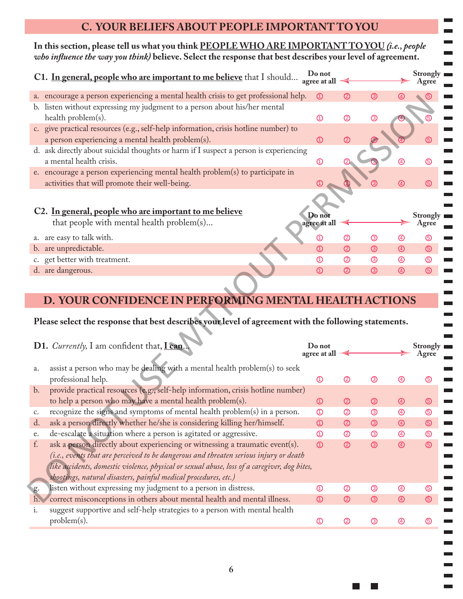### **C. YOUR BELIEFS ABOUT PEOPLE IMPORTANT TO YOU**

### **In this section, please tell us what you think PEOPLE WHO ARE IMPORTANT TO YOU** *(i.e., people who influence the way you think)* **believe. Select the response that best describes your level of agreement.**

| C1. In general, people who are important to me believe that I should                                | Do not<br>agree at all - |                |   | Strongly<br>Agree |
|-----------------------------------------------------------------------------------------------------|--------------------------|----------------|---|-------------------|
| a. encourage a person experiencing a mental health crisis to get professional help.                 |                          | $^{\circledR}$ |   |                   |
| listen without expressing my judgment to a person about his/her mental<br>b.                        |                          |                |   |                   |
| health problem(s).                                                                                  |                          | $^{(2)}$       |   |                   |
| c. give practical resources (e.g., self-help information, crisis hotline number) to                 |                          |                |   |                   |
| a person experiencing a mental health problem(s).                                                   | ന                        | $\circled{2}$  |   | ය                 |
| ask directly about suicidal thoughts or harm if I suspect a person is experiencing<br>d.            |                          |                |   |                   |
| a mental health crisis.                                                                             |                          |                | 4 |                   |
| e. encourage a person experiencing mental health problem(s) to participate in                       |                          |                |   |                   |
| activities that will promote their well-being.                                                      |                          |                | 4 | (5                |
| C2. In general, people who are important to me believe<br>that people with mental health problem(s) | Do not<br>agree at all   |                |   | Strongly<br>Agree |

| a. are easy to talk with.     |  | ദി | (4)      | G |
|-------------------------------|--|----|----------|---|
| b. are unpredictable.         |  |    | (4)      |   |
| c. get better with treatment. |  |    | (4)      | ල |
| d. are dangerous.             |  |    | $\omega$ | G |

### **D. YOUR CONFIDENCE IN PERFORMING MENTAL HEALTH ACTIONS**

### **Please select the response that best describes your level of agreement with the following statements.**

| a. encourage a person experiencing a mental health crisis to get professional help.                         | $\omega$                          |                |                |                |                 |
|-------------------------------------------------------------------------------------------------------------|-----------------------------------|----------------|----------------|----------------|-----------------|
| listen without expressing my judgment to a person about his/her mental<br>b.                                |                                   |                |                |                |                 |
| health problem(s).                                                                                          | $^{\circledR}$                    | $^{\circledR}$ | 3              |                |                 |
| c. give practical resources (e.g., self-help information, crisis hotline number) to                         |                                   |                |                |                |                 |
| a person experiencing a mental health problem(s).                                                           | $\circledcirc$                    | ②              |                |                | (5)             |
| d. ask directly about suicidal thoughts or harm if I suspect a person is experiencing                       |                                   |                |                |                |                 |
| a mental health crisis.                                                                                     | $^{\circledR}$                    |                |                | ④              | (5              |
| e. encourage a person experiencing mental health problem(s) to participate in                               |                                   |                |                |                |                 |
| activities that will promote their well-being.                                                              |                                   |                |                | $^{\circledR}$ | ௫               |
|                                                                                                             |                                   |                |                |                |                 |
|                                                                                                             |                                   |                |                |                |                 |
| C2. In general, people who are important to me believe                                                      | Do not                            |                |                |                | Strongly        |
| that people with mental health problem(s)                                                                   | agree at all                      |                |                |                | Agree           |
| a. are easy to talk with.                                                                                   | ൱                                 | ➁              | ☺              | ④              | ⑤               |
| b. are unpredictable.                                                                                       | $\odot$                           | $\circledcirc$ | $\circledcirc$ | $\bigcirc$     | $\circledS$     |
| get better with treatment.                                                                                  | $^{\circledR}$                    | $^{\circledR}$ | $^{\circledR}$ | $^{\circledR}$ | $\circledS$     |
| d. are dangerous.                                                                                           | $^{\circ}$                        | $^{\circledR}$ | $\circledS$    | $\circledA$    | ⑤               |
|                                                                                                             |                                   |                |                |                |                 |
|                                                                                                             |                                   |                |                |                |                 |
|                                                                                                             |                                   |                |                |                |                 |
| D. YOUR CONFIDENCE IN PERFORMING MENTAL HEALTH ACTIONS                                                      |                                   |                |                |                |                 |
|                                                                                                             |                                   |                |                |                |                 |
| Please select the response that best describes your level of agreement with the following statements.       |                                   |                |                |                |                 |
|                                                                                                             |                                   |                |                |                |                 |
| D1. Currently, I am confident that, I can.                                                                  | Do not                            |                |                |                | <b>Strongly</b> |
|                                                                                                             | agree at all $\blacktriangleleft$ |                |                |                | Agree           |
| a.                                                                                                          |                                   |                |                |                |                 |
| assist a person who may be dealing with a mental health problem(s) to seek<br>professional help.            | $^\circledR$                      | $^{\circledR}$ | $\circledcirc$ | $^{\circledR}$ | ᠖               |
| $\mathbf{b}$ .                                                                                              |                                   |                |                |                |                 |
| provide practical resources (e.g., self-help information, crisis hotline number)                            | $^\circledR$                      | $^{\circledR}$ | $\circledcirc$ | $^{\circledR}$ | $\circledS$     |
| to help a person who may have a mental health problem(s).<br>c.                                             | ➀                                 | $^{\circledR}$ | $\circledS$    | $\circledcirc$ | $\circledS$     |
| recognize the signs and symptoms of mental health problem(s) in a person.<br>d.                             | $\circledcirc$                    | $\circledcirc$ | $\circledcirc$ | $\circledcirc$ | G               |
| ask a person directly whether he/she is considering killing her/himself.                                    | $^{\circ}$                        | $\circledcirc$ | ര              | $^{\circledR}$ | ഒ               |
| de-escalate a situation where a person is agitated or aggressive.                                           | $^{\circ}$                        |                | $\circledS$    |                | $\circledS$     |
| f.<br>ask a person directly about experiencing or witnessing a traumatic event(s).                          |                                   | $\circledcirc$ |                | $\bigcirc$     |                 |
| (i.e., events that are perceived to be dangerous and threaten serious injury or death                       |                                   |                |                |                |                 |
| like accidents, domestic violence, physical or sexual abuse, loss of a caregiver, dog bites,                |                                   |                |                |                |                 |
| shootings, natural disasters, painful medical procedures, etc.)                                             |                                   |                |                |                |                 |
| listen without expressing my judgment to a person in distress.<br>g.<br>h.                                  | $^{\circledR}$                    | $^{\circledR}$ | $^{\circledR}$ | $^{\circledR}$ | ⑤               |
| correct misconceptions in others about mental health and mental illness.                                    | $^{\circledR}$                    | $\circledcirc$ | $\circledcirc$ | $\circledcirc$ | ⑤               |
| suggest supportive and self-help strategies to a person with mental health<br>$\mathbf{i}$ .<br>problem(s). | $^{\circledR}$                    | $^{\circledR}$ | $^{\circledR}$ | $\circledcirc$ | €               |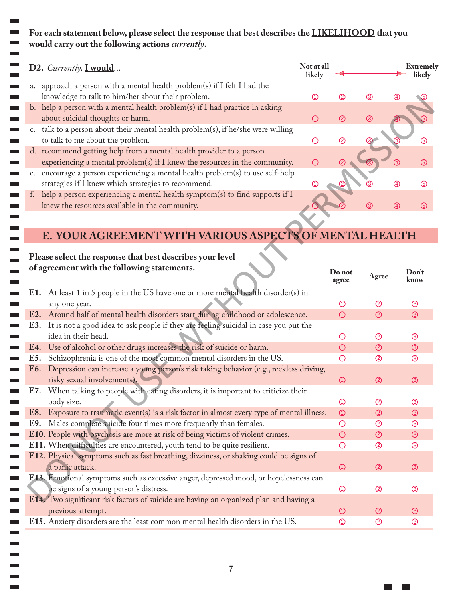### **For each statement below, please select the response that best describes the LIKELIHOOD that you would carry out the following actions** *currently***.**

|  | D2. Currently, $I$ would                                                         | Not at all<br>likely |               |   |                   | <b>Extremely</b><br>likely |
|--|----------------------------------------------------------------------------------|----------------------|---------------|---|-------------------|----------------------------|
|  | a. approach a person with a mental health problem(s) if I felt I had the         |                      |               |   |                   |                            |
|  | knowledge to talk to him/her about their problem.                                |                      | $\circled{2}$ |   |                   |                            |
|  | b. help a person with a mental health $problem(s)$ if I had practice in asking   |                      |               |   |                   |                            |
|  | about suicidal thoughts or harm.                                                 | ⋒                    | $\circled{2}$ | ദ |                   |                            |
|  | c. talk to a person about their mental health problem(s), if he/she were willing |                      |               |   |                   |                            |
|  | to talk to me about the problem.                                                 |                      | (2            |   |                   | (5)                        |
|  | d. recommend getting help from a mental health provider to a person              |                      |               |   |                   |                            |
|  | experiencing a mental problem(s) if I knew the resources in the community.       | ⋒                    |               |   | $\left( 4\right)$ | (5)                        |
|  | e. encourage a person experiencing a mental health problem(s) to use self-help   |                      |               |   |                   |                            |
|  | strategies if I knew which strategies to recommend.                              |                      |               |   |                   | (5)                        |
|  | f. help a person experiencing a mental health symptom(s) to find supports if I   |                      |               |   |                   |                            |
|  | knew the resources available in the community.                                   |                      |               |   |                   |                            |
|  |                                                                                  |                      |               |   |                   |                            |

### **E. YOUR AGREEMENT WITH VARIOUS ASPECTS OF MENTAL HEALTH**

**Tale** 

### **Please select the response that best describes your level of agreement with the following statements.**

 $\mathcal{L}$ 

|     | knowledge to talk to him/her about their problem.<br>$\omega$                                       |                 | 3)             |                     |
|-----|-----------------------------------------------------------------------------------------------------|-----------------|----------------|---------------------|
|     | b. help a person with a mental health problem(s) if I had practice in asking                        |                 |                |                     |
|     | about suicidal thoughts or harm.<br>$^{\circledR}$                                                  | ➁               | ③              |                     |
| c.  | talk to a person about their mental health problem(s), if he/she were willing                       |                 |                |                     |
|     | to talk to me about the problem.<br>$^{\circ}$                                                      | (2)             |                | (5)                 |
|     | d. recommend getting help from a mental health provider to a person                                 |                 |                |                     |
|     | experiencing a mental problem(s) if I knew the resources in the community.<br>$\odot$               |                 |                | $\circledA$<br>௫    |
|     | encourage a person experiencing a mental health problem(s) to use self-help                         |                 |                |                     |
|     | strategies if I knew which strategies to recommend.<br>ന                                            |                 |                | 4<br>(5)            |
|     | help a person experiencing a mental health symptom(s) to find supports if I                         |                 |                |                     |
|     | knew the resources available in the community.                                                      |                 | ③              | $^{\circledR}$<br>௫ |
|     |                                                                                                     |                 |                |                     |
|     | E. YOUR AGREEMENT WITH VARIOUS ASPECTS OF MENTAL HEALTH                                             |                 |                |                     |
|     |                                                                                                     |                 |                |                     |
|     | Please select the response that best describes your level                                           |                 |                |                     |
|     | of agreement with the following statements.                                                         |                 |                |                     |
|     |                                                                                                     | Do not<br>agree | Agree          | Don't<br>know       |
|     | E1. At least 1 in 5 people in the US have one or more mental health disorder(s) in                  |                 |                |                     |
|     | any one year.                                                                                       | ➀               | ②              | (3)                 |
| E2. | Around half of mental health disorders start during childhood or adolescence.                       | $\circledcirc$  | $\circledcirc$ | $\circledS$         |
| E3. | It is not a good idea to ask people if they are feeling suicidal in case you put the                |                 |                |                     |
|     | idea in their head.                                                                                 | ➀               | $\circled{2}$  | 3                   |
| E4. | Use of alcohol or other drugs increases the risk of suicide or harm.                                | $^\copyright$   | $^{\circledR}$ | $\circledS$         |
| E5. | Schizophrenia is one of the most common mental disorders in the US.                                 | $^{\circledR}$  | ➁              | $\circled{3}$       |
| E6. | Depression can increase a young person's risk taking behavior (e.g., reckless driving,              |                 |                |                     |
|     | risky sexual involvements).                                                                         | $^{\circledR}$  | $^{\circledR}$ | $\circledS$         |
| E7. | When talking to people with eating disorders, it is important to criticize their                    |                 |                |                     |
|     | body size.                                                                                          | $^{\circledR}$  | (2)            | $\circled{3}$       |
| E8. | Exposure to traumatic event(s) is a risk factor in almost every type of mental illness.             | $\circledcirc$  | $^{\circledR}$ | ☺                   |
| E9. | Males complete suicide four times more frequently than females.                                     | $\odot$         | $^{\circledR}$ | $\circledcirc$      |
|     | E10. People with psychosis are more at risk of being victims of violent crimes.                     | $\odot$         | $^{\circledR}$ | $\circledS$         |
|     | E11. When difficulties are encountered, youth tend to be quite resilient.                           | $\odot$         | $^{\circledR}$ | ③                   |
|     | E12. Physical symptoms such as fast breathing, dizziness, or shaking could be signs of              |                 |                |                     |
|     | a panic attack.                                                                                     | $\circledcirc$  | $^{\circledR}$ | $\circledcirc$      |
|     | E13. Emotional symptoms such as excessive anger, depressed mood, or hopelessness can                |                 |                |                     |
|     | be signs of a young person's distress.                                                              | $^{\circledR}$  | ➁              | $\circled{3}$       |
|     | E14. Two significant risk factors of suicide are having an organized plan and having a              |                 |                |                     |
|     |                                                                                                     |                 |                |                     |
|     | previous attempt.<br>E15. Anxiety disorders are the least common mental health disorders in the US. | $^{\circledR}$  | $^{\circledR}$ | $\circledS$         |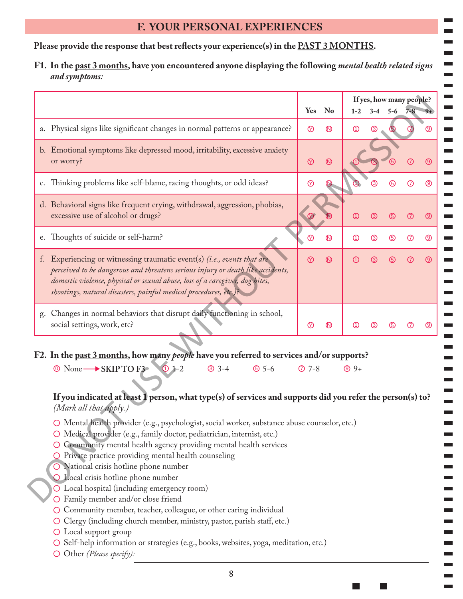### **F. YOUR PERSONAL EXPERIENCES**

**Please provide the response that best reflects your experience(s) in the PAST 3 MONTHS.**

**F1. In the past 3 months, have you encountered anyone displaying the following** *mental health related signs and symptoms:*

 $\sim$  $\sim$  $\mathcal{L}_{\mathcal{A}}$ **Contract**  $\sim$  $\overline{\phantom{0}}$ 

 $\sim$ 

۰

a a

|                                                                                                                                                                                                                                                                                                                                                                                                                                                                                                                                                                                                                                                                                                                                                                                     |                |                        |                |                |             |                | If yes, how many people?<br>$5-6$ 7-8 |  |  |  |
|-------------------------------------------------------------------------------------------------------------------------------------------------------------------------------------------------------------------------------------------------------------------------------------------------------------------------------------------------------------------------------------------------------------------------------------------------------------------------------------------------------------------------------------------------------------------------------------------------------------------------------------------------------------------------------------------------------------------------------------------------------------------------------------|----------------|------------------------|----------------|----------------|-------------|----------------|---------------------------------------|--|--|--|
|                                                                                                                                                                                                                                                                                                                                                                                                                                                                                                                                                                                                                                                                                                                                                                                     | Yes            | $\mathbf{N}\mathbf{o}$ | $1 - 2$        | $3 - 4$        |             |                | $9+$                                  |  |  |  |
| a. Physical signs like significant changes in normal patterns or appearance?                                                                                                                                                                                                                                                                                                                                                                                                                                                                                                                                                                                                                                                                                                        | $\circledcirc$ | $^{\circledR}$         | $\circledcirc$ | ③              |             |                | (9)                                   |  |  |  |
| b. Emotional symptoms like depressed mood, irritability, excessive anxiety<br>or worry?                                                                                                                                                                                                                                                                                                                                                                                                                                                                                                                                                                                                                                                                                             | $\circledcirc$ | $^{\circledR}$         |                |                |             | $^\circledR$   | $\circledcirc$                        |  |  |  |
| Thinking problems like self-blame, racing thoughts, or odd ideas?<br>$C_{\bullet}$                                                                                                                                                                                                                                                                                                                                                                                                                                                                                                                                                                                                                                                                                                  | $^\circledR$   |                        | $^{\circledR}$ | ③              | $\circledS$ | $\circledcirc$ | $^{\circledR}$                        |  |  |  |
| d. Behavioral signs like frequent crying, withdrawal, aggression, phobias,<br>excessive use of alcohol or drugs?                                                                                                                                                                                                                                                                                                                                                                                                                                                                                                                                                                                                                                                                    |                |                        | $^{\circledR}$ | ☺              | $\circledS$ | $^\circledR$   | $\circledcirc$                        |  |  |  |
| e. Thoughts of suicide or self-harm?                                                                                                                                                                                                                                                                                                                                                                                                                                                                                                                                                                                                                                                                                                                                                | $\circledcirc$ | $^{\circledR}$         | ➀              | ③              | ⑤           | $^\circledR$   | ◉                                     |  |  |  |
| Experiencing or witnessing traumatic event(s) (i.e., events that are<br>f.<br>perceived to be dangerous and threatens serious injury or death like accidents,<br>domestic violence, physical or sexual abuse, loss of a caregiver, dog bites,<br>shootings, natural disasters, painful medical procedures, etc.)?                                                                                                                                                                                                                                                                                                                                                                                                                                                                   | $\circledcirc$ | $\circledR$            | $\circledcirc$ | $^{\circledR}$ | $\circledS$ | $\circledcirc$ | $^{\circledR}$                        |  |  |  |
| Changes in normal behaviors that disrupt daily functioning in school,<br>g.<br>social settings, work, etc?                                                                                                                                                                                                                                                                                                                                                                                                                                                                                                                                                                                                                                                                          | $\circledcirc$ | $^{\circledR}$         | $^\circledR$   | ③              | ⑤           | Ø              | ⑼                                     |  |  |  |
| F2. In the past 3 months, how many people have you referred to services and/or supports?<br>$\circledcirc$ None $\rightarrow$ SKIPTO F3<br>$@3-4$<br>$\bigcirc$ 1-2<br>$$5-6$<br>If you indicated at least 1 person, what type(s) of services and supports did you refer the person(s) to?<br>(Mark all that apply.)                                                                                                                                                                                                                                                                                                                                                                                                                                                                | $@7 - 8$       |                        | $@9+$          |                |             |                |                                       |  |  |  |
| O Mental health provider (e.g., psychologist, social worker, substance abuse counselor, etc.)<br>O Medical provider (e.g., family doctor, pediatrician, internist, etc.)<br>O Community mental health agency providing mental health services<br>O Private practice providing mental health counseling<br>O National crisis hotline phone number<br>O Local crisis hotline phone number<br>O Local hospital (including emergency room)<br>O Family member and/or close friend<br>Community member, teacher, colleague, or other caring individual<br>O Clergy (including church member, ministry, pastor, parish staff, etc.)<br>O Local support group<br>Self-help information or strategies (e.g., books, websites, yoga, meditation, etc.)<br>$\bigcirc$ Other (Please specify): |                |                        |                |                |             |                |                                       |  |  |  |
| 8                                                                                                                                                                                                                                                                                                                                                                                                                                                                                                                                                                                                                                                                                                                                                                                   |                |                        |                |                |             |                |                                       |  |  |  |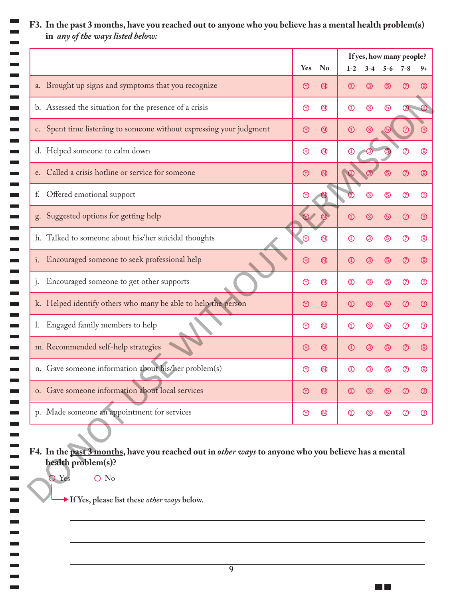### **F3. In the past 3 months, have you reached out to anyone who you believe has a mental health problem(s) in** *any of the ways listed below:*

|                                                                                                            | Yes            | N <sub>o</sub> |                | If yes, how many people?<br>$1 - 2$<br>$5 - 6$<br>$7 - 8$<br>$3 - 4$ |             |                   |                     |  |
|------------------------------------------------------------------------------------------------------------|----------------|----------------|----------------|----------------------------------------------------------------------|-------------|-------------------|---------------------|--|
| a. Brought up signs and symptoms that you recognize                                                        | $^\circledR$   | $^{\circledR}$ | $^\copyright$  | ③                                                                    | (5)         | の                 | $9+$<br>$\circledS$ |  |
| b. Assessed the situation for the presence of a crisis                                                     | $^\circledR$   | $^{\circledR}$ | ⋒              | ③                                                                    | $\circledS$ | $\circledcirc$    |                     |  |
| c. Spent time listening to someone without expressing your judgment                                        | $^\circledR$   | $^{\circledR}$ | $^{\circledR}$ | (3)                                                                  |             | $^\circledR$      | $\circledcirc$      |  |
| d. Helped someone to calm down                                                                             | $\circledcirc$ | $^{\circledR}$ | $\odot$        |                                                                      |             | (7)               | ◉                   |  |
| Called a crisis hotline or service for someone                                                             | $\circledcirc$ | $\circledR$    |                |                                                                      | $\circledS$ | $^\circledR$      | $\circledcirc$      |  |
| Offered emotional support<br>f.                                                                            | $^{\circledR}$ |                |                | ③                                                                    | $\circledS$ | ℗                 | ◉                   |  |
| Suggested options for getting help<br>g.                                                                   |                |                | $^{\circledR}$ | ③                                                                    | $\circledS$ | $\circledcirc$    | ◉                   |  |
| h. Talked to someone about his/her suicidal thoughts                                                       | $\circledcirc$ | $^{\circledR}$ | $^\copyright$  | (3)                                                                  | ⑤           | $^\circledR$      | ◉                   |  |
| Encouraged someone to seek professional help<br>i.                                                         | $\circledcirc$ | $\circledR$    | $^\copyright$  | $^{\circledR}$                                                       | $\circledS$ | $\circledcirc$    | $^{\circledR}$      |  |
| Encouraged someone to get other supports<br>j.                                                             | $\circledcirc$ | $^{\circledR}$ | $^\copyright$  | ③                                                                    | $\circledS$ | $^\circledR$      | ◉                   |  |
| k. Helped identify others who many be able to help the person                                              | $\circledcirc$ | $^{\circledR}$ | $^\copyright$  | ③                                                                    | ⑤           | $^\circledR$      | ◉                   |  |
| Engaged family members to help<br>1.                                                                       | $^\circledR$   | $^{\circ}$     | ①              | ③                                                                    | $\circledS$ | $^\circledR$      | ◉                   |  |
| m. Recommended self-help strategies                                                                        | $\circledcirc$ | $^{\circledR}$ | $^\copyright$  | (3)                                                                  | (5)         | の                 | ⊚                   |  |
| n. Gave someone information about his/her problem(s)                                                       | ∞              | $\circledR$    | ⋒              | (3)                                                                  | (5)         | $\left( 7\right)$ | இ                   |  |
| o. Gave someone information about local services                                                           | $^\circledR$   | $^{\circledR}$ | $^\copyright$  | ☺                                                                    | ⑤           | $^\circledR$      | $^{\circledR}$      |  |
| p. Made someone an appointment for services                                                                | $\circledcirc$ | $^{\circledR}$ | $^{\circledR}$ | $^{\circledR}$                                                       | $\circledS$ | $^\circledR$      | $^{\circledR}$      |  |
| F4. In the past 3 months, have you reached out in <i>other ways</i> to anyone who you believe has a mental |                |                |                |                                                                      |             |                   |                     |  |

### **F4. In the past 3 months, have you reached out in** *other ways* **to anyone who you believe has a mental health problem(s)?**<br>  $V$ es  $\bigcirc$  No  $\bigcirc$  No  $\bigcirc$  No  $\bigcirc$  H Yes, please l

O Yes O No

 $\sim$  $\sim$  $\blacksquare$  $\mathcal{L}_{\mathcal{A}}$ 

 $\mathcal{L}_{\text{max}}$  $\mathcal{L}_{\mathcal{A}}$  $\mathcal{L}_{\mathcal{A}}$  $\mathcal{L}_{\mathcal{A}}$  $\overline{\phantom{a}}$  $\mathbf{r}$  $\overline{\phantom{a}}$  $\overline{\phantom{a}}$  $\mathcal{L}_{\mathcal{A}}$  $\overline{\phantom{a}}$  $\mathcal{L}_{\mathcal{A}}$  $\overline{\phantom{a}}$  $\mathcal{L}_{\mathcal{A}}$  $\mathcal{L}_{\mathcal{A}}$  $\mathcal{L}_{\mathcal{A}}$  $\blacksquare$  $\overline{\phantom{a}}$  $\overline{\phantom{a}}$  $\mathcal{L}_{\mathcal{A}}$  $\overline{\phantom{0}}$  $\blacksquare$  $\mathcal{L}_{\mathcal{A}}$  $\overline{\phantom{a}}$  $\mathcal{L}_{\mathcal{A}}$  $\overline{\phantom{a}}$  $\mathcal{L}_{\mathcal{A}}$  $\overline{\phantom{a}}$  $\blacksquare$  $\sim$  $\blacksquare$  $\blacksquare$  $\overline{\phantom{a}}$ 

 $\overline{a}$ 

 $\overline{\phantom{a}}$  $\overline{\phantom{a}}$  $\blacksquare$  $\sim$  $\blacksquare$  $\overline{\phantom{a}}$  $\mathbf{r}$  $\overline{\phantom{a}}$  $\overline{\phantom{a}}$ 

**Contract** 

**If Yes, please list these** *other ways* **below.**

<u>a m</u>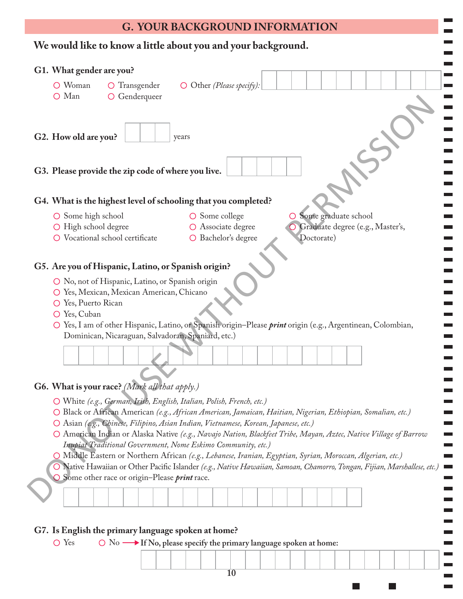### **G. YOUR BACKGROUND INFORMATION**

### **We would like to know a little about you and your background.**

| G1. What gender are you?                                                                                                                                                                                                                                                              |                                                             |                                                                                                                                                                                                                                                                                                                                                                                                                                                                            |
|---------------------------------------------------------------------------------------------------------------------------------------------------------------------------------------------------------------------------------------------------------------------------------------|-------------------------------------------------------------|----------------------------------------------------------------------------------------------------------------------------------------------------------------------------------------------------------------------------------------------------------------------------------------------------------------------------------------------------------------------------------------------------------------------------------------------------------------------------|
| O Woman<br>O Transgender<br>O Genderqueer<br>O Man                                                                                                                                                                                                                                    | O Other (Please specify):                                   |                                                                                                                                                                                                                                                                                                                                                                                                                                                                            |
| G2. How old are you?<br>G3. Please provide the zip code of where you live.                                                                                                                                                                                                            | years                                                       |                                                                                                                                                                                                                                                                                                                                                                                                                                                                            |
| G4. What is the highest level of schooling that you completed?                                                                                                                                                                                                                        |                                                             |                                                                                                                                                                                                                                                                                                                                                                                                                                                                            |
| O Some high school<br>O High school degree<br>O Vocational school certificate                                                                                                                                                                                                         | O Some college<br>O Associate degree<br>O Bachelor's degree | O Some graduate school<br>Graduate degree (e.g., Master's,<br>Doctorate)                                                                                                                                                                                                                                                                                                                                                                                                   |
| G5. Are you of Hispanic, Latino, or Spanish origin?                                                                                                                                                                                                                                   |                                                             |                                                                                                                                                                                                                                                                                                                                                                                                                                                                            |
| O No, not of Hispanic, Latino, or Spanish origin<br>O Yes, Mexican, Mexican American, Chicano<br>O Yes, Puerto Rican<br>O Yes, Cuban<br>Dominican, Nicaraguan, Salvadoran, Spaniard, etc.)                                                                                            |                                                             | O Yes, I am of other Hispanic, Latino, or Spanish origin-Please print origin (e.g., Argentinean, Colombian,                                                                                                                                                                                                                                                                                                                                                                |
|                                                                                                                                                                                                                                                                                       |                                                             |                                                                                                                                                                                                                                                                                                                                                                                                                                                                            |
| G6. What is your race? (Mark all that apply.)                                                                                                                                                                                                                                         |                                                             |                                                                                                                                                                                                                                                                                                                                                                                                                                                                            |
| O White (e.g., German, Irish, English, Italian, Polish, French, etc.)<br>O Asian (e.g., Chinese, Filipino, Asian Indian, Vietnamese, Korean, Japanese, etc.)<br>Inupiat Traditional Government, Nome Eskimo Community, etc.)<br>O Some other race or origin-Please <i>print</i> race. |                                                             | O Black or African American (e.g., African American, Jamaican, Haitian, Nigerian, Ethiopian, Somalian, etc.)<br>O American Indian or Alaska Native (e.g., Navajo Nation, Blackfeet Tribe, Mayan, Aztec, Native Village of Barrow<br>O Middle Eastern or Northern African (e.g., Lebanese, Iranian, Egyptian, Syrian, Moroccan, Algerian, etc.)<br>O Native Hawaiian or Other Pacific Islander (e.g., Native Hawaiian, Samoan, Chamorro, Tongan, Fijian, Marshallese, etc.) |
|                                                                                                                                                                                                                                                                                       |                                                             |                                                                                                                                                                                                                                                                                                                                                                                                                                                                            |
|                                                                                                                                                                                                                                                                                       |                                                             |                                                                                                                                                                                                                                                                                                                                                                                                                                                                            |

○ Yes ○ No If No, please specify the primary language spoken at home:

T.

l a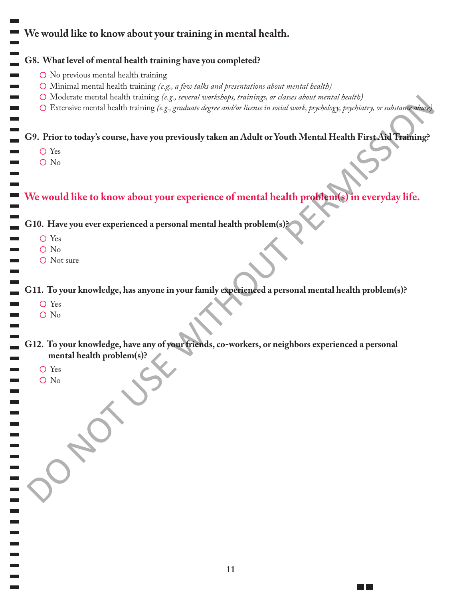| We would like to know about your training in mental health.                                                                                                                                                                                                                                                                                                                            |
|----------------------------------------------------------------------------------------------------------------------------------------------------------------------------------------------------------------------------------------------------------------------------------------------------------------------------------------------------------------------------------------|
| G8. What level of mental health training have you completed?                                                                                                                                                                                                                                                                                                                           |
| O No previous mental health training<br>$O$ Minimal mental health training (e.g., a few talks and presentations about mental health)<br>O Moderate mental health training (e.g., several workshops, trainings, or classes about mental health)<br>O Extensive mental health training (e.g., graduate degree and/or license in social work, psychology, psychiatry, or substance abuse) |
| G9. Prior to today's course, have you previously taken an Adult or Youth Mental Health First Aid Training?                                                                                                                                                                                                                                                                             |
| O Yes                                                                                                                                                                                                                                                                                                                                                                                  |
| O No                                                                                                                                                                                                                                                                                                                                                                                   |
| We would like to know about your experience of mental health problem(s) in everyday life.                                                                                                                                                                                                                                                                                              |
| G10. Have you ever experienced a personal mental health problem(s)?                                                                                                                                                                                                                                                                                                                    |
| O Yes                                                                                                                                                                                                                                                                                                                                                                                  |
| $O$ No                                                                                                                                                                                                                                                                                                                                                                                 |
| O Not sure                                                                                                                                                                                                                                                                                                                                                                             |
| G11. To your knowledge, has anyone in your family experienced a personal mental health problem(s)?                                                                                                                                                                                                                                                                                     |
| O Yes                                                                                                                                                                                                                                                                                                                                                                                  |
| O No                                                                                                                                                                                                                                                                                                                                                                                   |
| G12. To your knowledge, have any of your friends, co-workers, or neighbors experienced a personal<br>mental health problem(s)?                                                                                                                                                                                                                                                         |
| O Yes<br>$\bigcirc$ No                                                                                                                                                                                                                                                                                                                                                                 |
|                                                                                                                                                                                                                                                                                                                                                                                        |

 $\Box$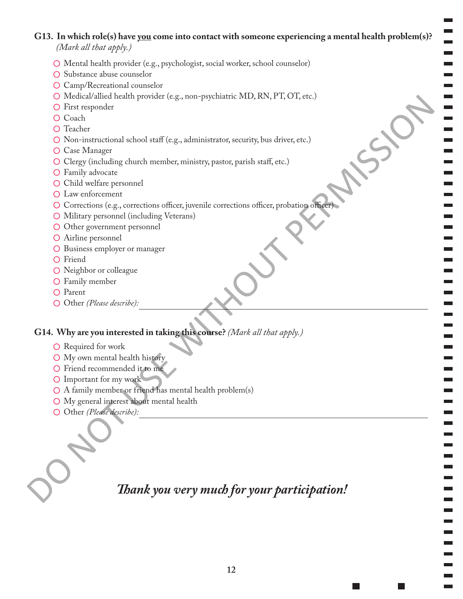### **G13. In which role(s) have you come into contact with someone experiencing a mental health problem(s)?**

*(Mark all that apply.)*

- Mental health provider (e.g., psychologist, social worker, school counselor)
- O Substance abuse counselor
- Camp/Recreational counselor
- O Medical/allied health provider (e.g., non-psychiatric MD, RN, PT, OT, etc.)
- O First responder
- O Coach
- O Teacher
- O Non-instructional school staff (e.g., administrator, security, bus driver, etc.)
- O Case Manager
- Clergy (including church member, ministry, pastor, parish staff, etc.)
- Family advocate
- O Child welfare personnel
- Law enforcement
- Corrections (e.g., corrections officer, juvenile corrections officer, probation officer) Details and neutral beautiful consideration and the method of the method of the product and consideration of the case of the case of the case of the case of the case of the case of the case of the case of the case of the c
- O Military personnel (including Veterans)
- O Other government personnel
- Airline personnel
- O Business employer or manager
- O Friend
- O Neighbor or colleague
- Family member
- O Parent

DO

Other *(Please describe):*

### **G14. Why are you interested in taking this course?** *(Mark all that apply.)*

- O Required for work
- O My own mental health history
- O Friend recommended it to me
- Important for my work
- $\bigcirc$  A family member or friend has mental health problem(s)
- My general interest about mental health
- Other *(Please describe):*

### *Thank you very much for your participation!*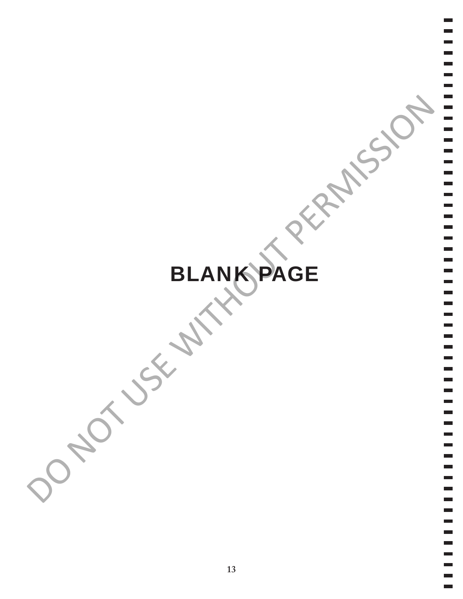BLANK PAGE DO NOT USE WITHOUT PERMISSION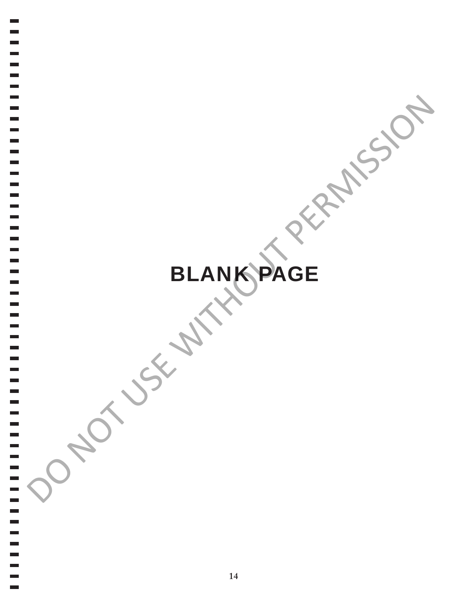# BLANK PAGE DO NOT USE WITHOUT PERMISSION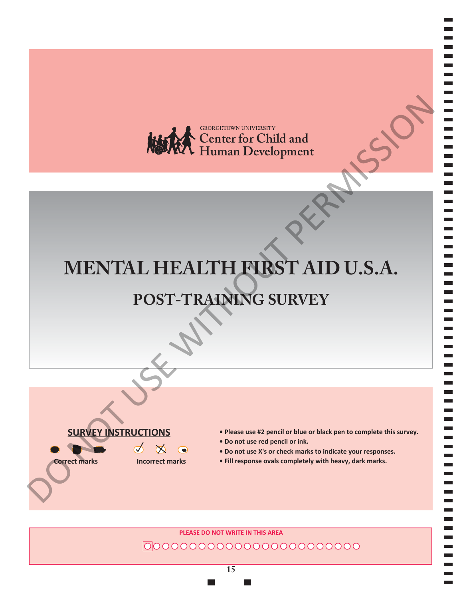

## **MENTAL HEALTH FIRST AID U.S.A. POST-TRAINING SURVEY** MENTAL HEALTH FIRST AID U.S.A.



**• Please use #2 pencil or blue or black pen to complete this survey.**

=<br>=<br>=<br>=

- **Do not use red pencil or ink.**
- **Do not use X's or check marks to indicate your responses.**
- **Incorrect marks Fill response ovals completely with heavy, dark marks.**

### **PLEASE DO NOT WRITE IN THIS AREA**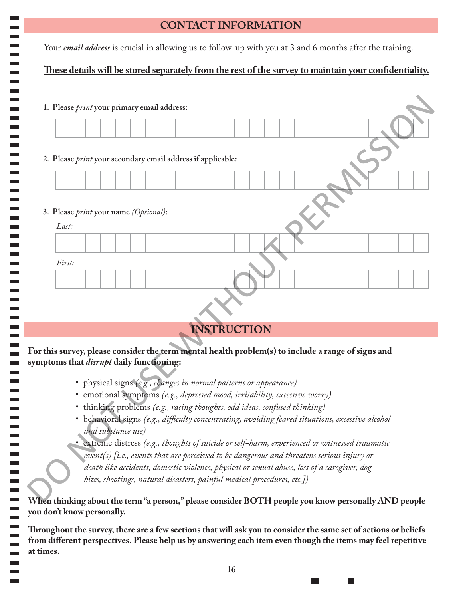### **CONTACT INFORMATION** Your *email address* is crucial in allowing us to follow-up with you at 3 and 6 months after the training. **These details will be stored separately from the rest of the survey to maintain your confidentiality. 1. Please** *print* **your primary email address: 3. Please** *print* **your name** *(Optional)***:** *Last: First:* **2. Please** *print* **your secondary email address if applicable:** 1. Please print your genant and address if applicable:<br>
2. Please print your secondary entail address if applicable:<br>
3. Please print your name (Optional):<br>
1. Latt.<br>
Firm:<br>
Firm:<br>
Firm:<br>
Firm:<br>
Firm:<br>
Plusical signals (a

### **INSTRUCTION**

### **For this survey, please consider the term mental health problem(s) to include a range of signs and symptoms that** *disrupt* **daily functioning:**

• physical signs (e.g., changes in normal patterns or appearance)

 $\overline{a}$ 

 $\overline{a}$ 

 $\frac{1}{2}$ 

 $\frac{1}{2}$ 

 $\frac{1}{2}$ 

 $\frac{1}{2}$ 

 $\overline{\phantom{0}}$ 

=<br>=<br>=<br>=

- emotional symptoms (e.g., depressed mood, irritability, excessive worry)
- thinking problems (e.g., racing thoughts, odd ideas, confused thinking)
- behavioral signs (e.g., difficulty concentrating, avoiding feared situations, excessive alcohol  *and substance use)*
- extreme distress (e.g., thoughts of suicide or self-harm, experienced or witnessed traumatic
	- *event(s) [i.e., events that are perceived to be dangerous and threatens serious injury or*
	- *death like accidents, domestic violence, physical or sexual abuse, loss of a caregiver, dog bites, shootings, natural disasters, painful medical procedures, etc.])*

**When thinking about the term "a person," please consider BOTH people you know personally AND people you don't know personally.**

**Throughout the survey, there are a few sections that will ask you to consider the same set of actions or beliefs from different perspectives. Please help us by answering each item even though the items may feel repetitive at times.**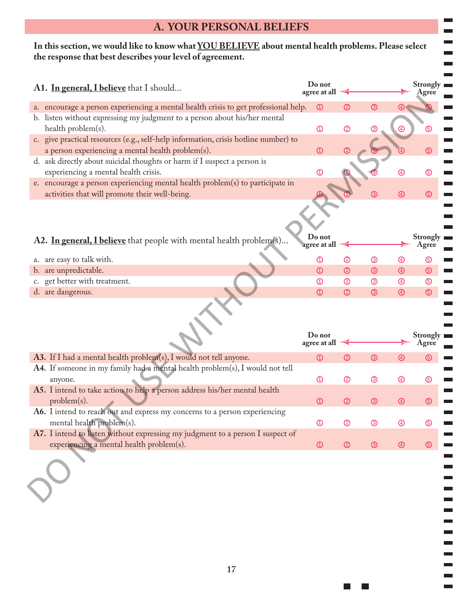### **A. YOUR PERSONAL BELIEFS**

m.

 $\overline{\phantom{0}}$ 

 $\sim$  $\sim$ 

 $\overline{\phantom{a}}$  $\mathcal{L}_{\mathcal{A}}$ m.

۰

L.

### **In this section, we would like to know what YOU BELIEVE about mental health problems. Please select the response that best describes your level of agreement.**

| A1. In general, I believe that I should                                             | Do not<br>agree at all - |                |                |                | <b>Strongly</b><br>Agree |
|-------------------------------------------------------------------------------------|--------------------------|----------------|----------------|----------------|--------------------------|
| a. encourage a person experiencing a mental health crisis to get professional help. | $\circledcirc$           | $\circledcirc$ | $\circledS$    | ④              |                          |
| b. listen without expressing my judgment to a person about his/her mental           |                          |                |                |                |                          |
| health problem(s).                                                                  | $\odot$                  | $^{\circledR}$ |                |                | (5)                      |
| c. give practical resources (e.g., self-help information, crisis hotline number) to |                          |                |                |                |                          |
| a person experiencing a mental health problem(s).                                   | $\odot$                  |                |                |                | $\circledS$              |
| d. ask directly about suicidal thoughts or harm if I suspect a person is            |                          |                |                |                |                          |
| experiencing a mental health crisis.                                                | $^{\circledR}$           |                |                | ④              | (5)                      |
| e. encourage a person experiencing mental health problem(s) to participate in       |                          |                |                |                |                          |
| activities that will promote their well-being.                                      |                          |                |                | $^{\circledR}$ | (5)                      |
| A2. In general, I believe that people with mental health problem(s)                 | Do not<br>agree at all   |                |                |                | Strongly<br>Agree        |
| a. are easy to talk with.                                                           | $^{\circ}$               | $^{\circledR}$ | $\circledcirc$ | ④              | க                        |
| b. are unpredictable.                                                               | $^{\circledR}$           | $\circledcirc$ | $\circledS$    | $\circledA$    | $\circledS$              |
| get better with treatment.                                                          | $^{\circ}$               | $^{\circledR}$ | $\circledS$    | $\bigcirc$     | $\circledS$              |
| d. are dangerous.                                                                   | $\circledcirc$           | $\circledcirc$ | $\circledS$    | $\circledA$    | $\circledS$              |
|                                                                                     | Do not<br>agree at all   |                |                |                | Strongly<br>Agree        |
| A3. If I had a mental health problem(s), I would not tell anyone.                   | $^{\circledR}$           | $^{\circledR}$ | $\circledS$    | $^{\circledR}$ | (5)                      |
| A4. If someone in my family had a mental health problem(s), I would not tell        |                          |                |                |                |                          |
| anyone.                                                                             | $^{\circledR}$           | $^{\circledR}$ | $\circledcirc$ | $^{\circledR}$ | (5)                      |
| A5. I intend to take action to help a person address his/her mental health          |                          |                |                |                |                          |
| problem(s).                                                                         | $\odot$                  | $^{\circledR}$ | $^{\circledR}$ | $\circledA$    | (5)                      |
| A6. I intend to reach out and express my concerns to a person experiencing          |                          |                |                |                |                          |
| mental health problem(s).                                                           | $\odot$                  | $^{\circledR}$ | $^{\circledR}$ | $^{\circledR}$ | $\circledS$              |
| A7. I intend to listen without expressing my judgment to a person I suspect of      |                          |                |                |                |                          |
| experiencing a mental health problem(s).                                            | $\circledcirc$           | $^{\circledR}$ | $\circledS$    | $\circledcirc$ | $\circledS$              |
|                                                                                     |                          |                |                |                |                          |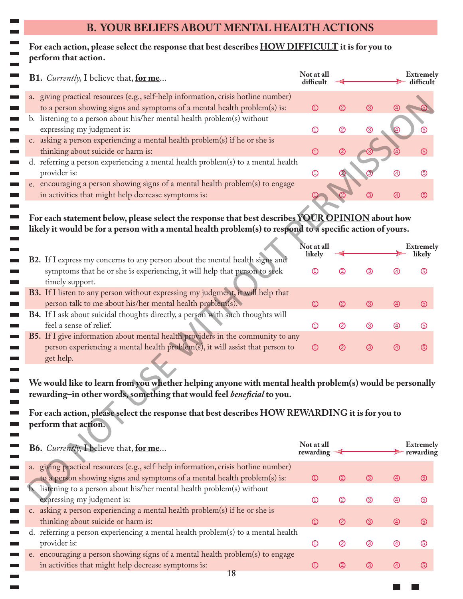### **B. YOUR BELIEFS ABOUT MENTAL HEALTH ACTIONS**

### **For each action, please select the response that best describes HOW DIFFICULT it is for you to perform that action.**

 $\mathcal{L}_{\mathcal{A}}$ 

 $\mathbf{r}$ 

| <b>B1.</b> Currently, I believe that, for me                                       | Not at all<br>difficult |     |     | <b>Extremely</b><br>difficult |
|------------------------------------------------------------------------------------|-------------------------|-----|-----|-------------------------------|
| a. giving practical resources (e.g., self-help information, crisis hotline number) |                         |     |     |                               |
| to a person showing signs and symptoms of a mental health problem(s) is:           | (1)                     | (2) | ദ   |                               |
| b. listening to a person about his/her mental health problem(s) without            |                         |     |     |                               |
| expressing my judgment is:                                                         | (1                      |     |     | ெ                             |
| c. asking a person experiencing a mental health problem(s) if he or she is         |                         |     |     |                               |
| thinking about suicide or harm is:                                                 | (1)                     | (2) |     | (5)                           |
| d. referring a person experiencing a mental health problem(s) to a mental health   |                         |     |     |                               |
| provider is:                                                                       | $\mathcal{C}$           |     |     | (5                            |
| e. encouraging a person showing signs of a mental health problem(s) to engage      |                         |     |     |                               |
| in activities that might help decrease symptoms is:                                |                         |     | ദ്ര |                               |
|                                                                                    |                         |     |     |                               |

| a. giving practical resources (e.g., self-help information, crisis hotline number)                                                                                                                           |                      |                |             |                |                            |
|--------------------------------------------------------------------------------------------------------------------------------------------------------------------------------------------------------------|----------------------|----------------|-------------|----------------|----------------------------|
| to a person showing signs and symptoms of a mental health problem(s) is:                                                                                                                                     | $^{\circledR}$       | $^{\circledR}$ | $\circledS$ |                |                            |
| b. listening to a person about his/her mental health problem(s) without                                                                                                                                      |                      |                |             |                |                            |
| expressing my judgment is:                                                                                                                                                                                   | ➀                    | ➁              |             |                |                            |
| c. asking a person experiencing a mental health problem(s) if he or she is                                                                                                                                   |                      |                |             |                |                            |
| thinking about suicide or harm is:                                                                                                                                                                           | $^{\circledR}$       | $^{\circledR}$ |             |                | $\circledS$                |
| d. referring a person experiencing a mental health problem(s) to a mental health                                                                                                                             |                      |                |             |                |                            |
| provider is:                                                                                                                                                                                                 | ൱                    |                |             | (4)            | (5)                        |
| e. encouraging a person showing signs of a mental health problem(s) to engage                                                                                                                                |                      |                |             |                |                            |
| in activities that might help decrease symptoms is:                                                                                                                                                          |                      |                | (3)         | (4)            | $\circledS$                |
|                                                                                                                                                                                                              |                      |                |             |                |                            |
| For each statement below, please select the response that best describes YOUR OPINION about how<br>likely it would be for a person with a mental health problem(s) to respond to a specific action of yours. |                      |                |             |                |                            |
|                                                                                                                                                                                                              |                      |                |             |                |                            |
|                                                                                                                                                                                                              | Not at all<br>likely |                |             |                | <b>Extremely</b><br>likely |
| B2. If I express my concerns to any person about the mental health signs and                                                                                                                                 |                      |                |             |                |                            |
| symptoms that he or she is experiencing, it will help that person to seek                                                                                                                                    | ന                    | ②              | ③           | (4)            | (5)                        |
| timely support.                                                                                                                                                                                              |                      |                |             |                |                            |
| B3. If I listen to any person without expressing my judgment, it will help that                                                                                                                              |                      |                |             |                |                            |
| person talk to me about his/her mental health problem(s).                                                                                                                                                    | $\circledcirc$       | $\circledcirc$ | $\circledS$ | $^{\circledR}$ | $\circledS$                |
| B4. If I ask about suicidal thoughts directly, a person with such thoughts will                                                                                                                              |                      |                |             |                |                            |
| feel a sense of relief.                                                                                                                                                                                      | $\odot$              | $^{\circledR}$ | $\circledS$ | ④              | ⑤                          |
| B5. If I give information about mental health providers in the community to any                                                                                                                              |                      |                |             |                |                            |
| person experiencing a mental health problem(s), it will assist that person to                                                                                                                                | $^\copyright$        | $^{\circledR}$ | $\circledS$ | ④              | $\circledS$                |
| get help.                                                                                                                                                                                                    |                      |                |             |                |                            |
|                                                                                                                                                                                                              |                      |                |             |                |                            |
| We would like to learn from you whether helping anyone with mental health problem(s) would be personally                                                                                                     |                      |                |             |                |                            |
| rewarding-in other words, something that would feel beneficial to you.                                                                                                                                       |                      |                |             |                |                            |
|                                                                                                                                                                                                              |                      |                |             |                |                            |
| For each action, please select the response that best describes <b>HOW REWARDING</b> it is for you to                                                                                                        |                      |                |             |                |                            |
| perform that action.                                                                                                                                                                                         |                      |                |             |                |                            |
|                                                                                                                                                                                                              |                      |                |             |                |                            |
| B6. Currently, I believe that, for me                                                                                                                                                                        | Not at all           |                |             |                | <b>Extremely</b>           |
|                                                                                                                                                                                                              | rewarding            |                |             |                | rewarding                  |
| a. giving practical resources (e.g., self-help information, crisis hotline number)                                                                                                                           |                      |                |             |                |                            |
| to a person showing signs and symptoms of a mental health problem(s) is:                                                                                                                                     | $\circledcirc$       | $^{\circledR}$ | $\circledS$ | $\circledA$    | $\circledS$                |
| listening to a person about his/her mental health problem(s) without                                                                                                                                         |                      |                |             |                |                            |
| expressing my judgment is:                                                                                                                                                                                   | $\odot$              | $^{\circledR}$ | $\circledS$ | $\circled{4}$  | ௫                          |

| B6. Currently, I believe that, for me                                                                                                                             | Not at all<br>rewarding |               |               |     | <b>Extremely</b><br>rewarding |
|-------------------------------------------------------------------------------------------------------------------------------------------------------------------|-------------------------|---------------|---------------|-----|-------------------------------|
| giving practical resources (e.g., self-help information, crisis hotline number)<br>a.<br>to a person showing signs and symptoms of a mental health problem(s) is: | $\circ$                 | $\circled{2}$ | $\circled{3}$ | (4) | (5)                           |
| b. listening to a person about his/her mental health problem(s) without                                                                                           |                         |               |               |     |                               |
| expressing my judgment is:                                                                                                                                        | (1)                     |               | ③             | (4) | (5)                           |
| c. asking a person experiencing a mental health problem(s) if he or she is                                                                                        |                         |               |               |     |                               |
| thinking about suicide or harm is:                                                                                                                                | ത                       | $\circled{2}$ | 3             | (4) | ௫                             |
| d. referring a person experiencing a mental health problem(s) to a mental health                                                                                  |                         |               |               |     |                               |
| provider is:                                                                                                                                                      | (1)                     | (2)           | (3)           | (4, | ග                             |
| e. encouraging a person showing signs of a mental health problem(s) to engage                                                                                     |                         |               |               |     |                               |
| in activities that might help decrease symptoms is:                                                                                                               | ⋒                       | (2)           | $\circ$       | (4) | (5)                           |

 $\mathbb{R}^n$ 

 $\mathcal{L}_{\mathcal{A}}$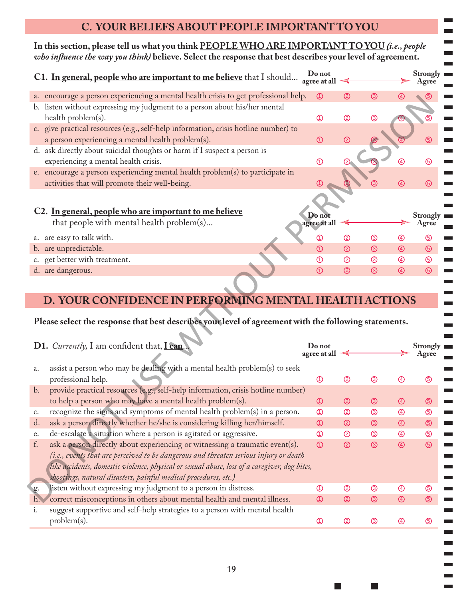### **C. YOUR BELIEFS ABOUT PEOPLE IMPORTANT TO YOU**

### **In this section, please tell us what you think PEOPLE WHO ARE IMPORTANT TO YOU** *(i.e., people who influence the way you think)* **believe. Select the response that best describes your level of agreement.**

| C1. In general, people who are important to me believe that I should $\frac{100 \text{ nO}}{2}$ |              |               |   |               | Strongl<br>Agree |
|-------------------------------------------------------------------------------------------------|--------------|---------------|---|---------------|------------------|
| a. encourage a person experiencing a mental health crisis to get professional help.             | $\circ$      | $\circled{2}$ | 3 | (4)           |                  |
| b. listen without expressing my judgment to a person about his/her mental                       |              |               |   |               |                  |
| health problem(s).                                                                              | $\circ$      | $\circled{2}$ | 3 |               |                  |
| c. give practical resources (e.g., self-help information, crisis hotline number) to             |              |               |   |               |                  |
| a person experiencing a mental health problem(s).                                               | ⋒            | (2)           |   |               | ය                |
| d. ask directly about suicidal thoughts or harm if I suspect a person is                        |              |               |   |               |                  |
| experiencing a mental health crisis.                                                            |              |               |   | $\circled{4}$ |                  |
| e. encourage a person experiencing mental health problem(s) to participate in                   |              |               |   |               |                  |
| activities that will promote their well-being.                                                  |              |               |   | 4             | (5               |
|                                                                                                 |              |               |   |               |                  |
| C2. In general, people who are important to me believe                                          | Do not       |               |   |               | Strongl          |
| that people with mental health problem(s)                                                       | agree at all |               |   |               | Agree            |
| a. are easy to talk with.                                                                       |              | $\circled{2}$ | 3 | $\circled{4}$ | (5)              |
| b. are unpredictable.                                                                           |              | (2)           | ൫ | 4             | G.               |

- c. get better with treatment.
- d. are dangerous.

### **D. YOUR CONFIDENCE IN PERFORMING MENTAL HEALTH ACTIONS**

### **Please select the response that best describes your level of agreement with the following statements.**

| a. encourage a person experiencing a mental health crisis to get professional help.                   | $\omega$                          |                |                |                |                 |
|-------------------------------------------------------------------------------------------------------|-----------------------------------|----------------|----------------|----------------|-----------------|
| listen without expressing my judgment to a person about his/her mental<br>b.                          |                                   |                |                |                |                 |
| health problem(s).                                                                                    | $^{\circledR}$                    | $^{\circledR}$ | 3              |                |                 |
| c. give practical resources (e.g., self-help information, crisis hotline number) to                   |                                   |                |                |                |                 |
| a person experiencing a mental health problem(s).                                                     | $^{\circledR}$                    | ②              |                |                | (5)             |
| d. ask directly about suicidal thoughts or harm if I suspect a person is                              |                                   |                |                |                |                 |
| experiencing a mental health crisis.                                                                  | $^{\circledR}$                    |                |                | ④              | (5              |
| e. encourage a person experiencing mental health problem(s) to participate in                         |                                   |                |                |                |                 |
| activities that will promote their well-being.                                                        |                                   |                |                | $^{\circledR}$ | ௫               |
|                                                                                                       |                                   |                |                |                |                 |
|                                                                                                       |                                   |                |                |                |                 |
| C2. In general, people who are important to me believe                                                | Do not                            |                |                |                | Strongly        |
| that people with mental health problem(s)                                                             | agree at all                      |                |                |                | Agree           |
| a. are easy to talk with.                                                                             | ൱                                 | ➁              | ☺              | ④              | ⑤               |
| b. are unpredictable.                                                                                 | $\odot$                           | $\circledcirc$ | $\circledcirc$ | $\circledA$    | $\circledS$     |
| get better with treatment.                                                                            | $^{\circledR}$                    | $^{\circledR}$ | $^{\circledR}$ | $^{\circledR}$ | $\circledS$     |
| d. are dangerous.                                                                                     | $^{\circ}$                        | $^{\circledR}$ | $\circledS$    | $\circledA$    | ⑤               |
|                                                                                                       |                                   |                |                |                |                 |
|                                                                                                       |                                   |                |                |                |                 |
|                                                                                                       |                                   |                |                |                |                 |
| D. YOUR CONFIDENCE IN PERFORMING MENTAL HEALTH ACTIONS                                                |                                   |                |                |                |                 |
|                                                                                                       |                                   |                |                |                |                 |
| Please select the response that best describes your level of agreement with the following statements. |                                   |                |                |                |                 |
|                                                                                                       |                                   |                |                |                |                 |
| D1. Currently, I am confident that, I can.                                                            | Do not                            |                |                |                | <b>Strongly</b> |
|                                                                                                       | agree at all $\blacktriangleleft$ |                |                |                | Agree           |
| assist a person who may be dealing with a mental health problem(s) to seek<br>a.                      |                                   |                |                |                |                 |
| professional help.                                                                                    | $^\circledR$                      | $^{\circledR}$ | $\circledcirc$ | $^{\circledR}$ | ᠖               |
| provide practical resources (e.g., self-help information, crisis hotline number)<br>$\mathbf{b}$ .    |                                   |                |                |                |                 |
| to help a person who may have a mental health problem(s).                                             | $^\circledR$                      | $^{\circledR}$ | $\circledcirc$ | $^{\circledR}$ | $\circledS$     |
| recognize the signs and symptoms of mental health problem(s) in a person.<br>c.                       | ➀                                 | $^{\circledR}$ | $\circledS$    | $\circledcirc$ | $\circledS$     |
| ask a person directly whether he/she is considering killing her/himself.<br>d.                        | $\circledcirc$                    | $^{\circledR}$ | $\circledcirc$ | $\circledcirc$ | G               |
| de-escalate a situation where a person is agitated or aggressive.                                     | $^{\circ}$                        | $\circledcirc$ | ര              | $^{\circledR}$ | ഒ               |
| f.<br>ask a person directly about experiencing or witnessing a traumatic event(s).                    | $^{\circ}$                        | $\circledcirc$ | $\circledS$    | $\bigcirc$     | $\circledS$     |
| (i.e., events that are perceived to be dangerous and threaten serious injury or death                 |                                   |                |                |                |                 |
| like accidents, domestic violence, physical or sexual abuse, loss of a caregiver, dog bites,          |                                   |                |                |                |                 |
| shootings, natural disasters, painful medical procedures, etc.)                                       |                                   |                |                |                |                 |
| listen without expressing my judgment to a person in distress.                                        | $^\circledR$                      | $^{\circledR}$ | $^{\circledR}$ | $^{\circledR}$ | ⑤               |
| g.<br>correct misconceptions in others about mental health and mental illness.<br>h.                  | $^{\circledR}$                    | $^{\circledR}$ | $\circledS$    | $\circledcirc$ | ⑤               |
| suggest supportive and self-help strategies to a person with mental health<br>$\mathbf{i}$ .          |                                   |                |                |                |                 |
| problem(s).                                                                                           | $^{\circledR}$                    | $^{\circledR}$ | $^{\circledR}$ | $\circledcirc$ | €               |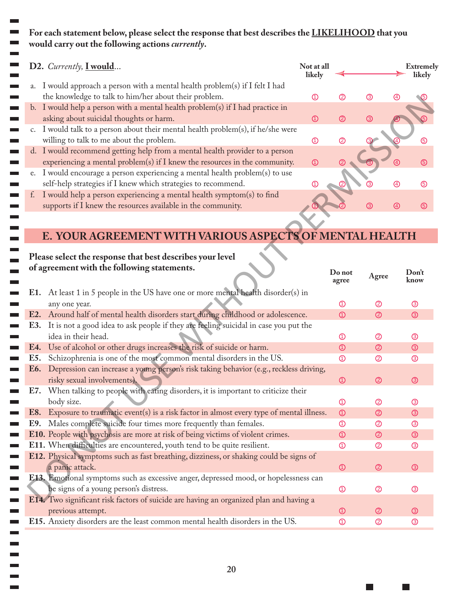### **For each statement below, please select the response that best describes the LIKELIHOOD that you would carry out the following actions** *currently***.**

|    | D2. Currently, <u>I would</u>                                                    | Not at all<br>likely |               |             |     | <b>Extremely</b><br>likely |
|----|----------------------------------------------------------------------------------|----------------------|---------------|-------------|-----|----------------------------|
| a. | I would approach a person with a mental health problem(s) if I felt I had        |                      |               |             |     |                            |
|    | the knowledge to talk to him/her about their problem.                            |                      | $\circled{2}$ | (3)         |     |                            |
|    | b. I would help a person with a mental health problem(s) if I had practice in    |                      |               |             |     |                            |
|    | asking about suicidal thoughts or harm.                                          | (1)                  | $\circled{2}$ | $\circledS$ |     |                            |
|    | c. I would talk to a person about their mental health problem(s), if he/she were |                      |               |             |     |                            |
|    | willing to talk to me about the problem.                                         |                      | ②             |             |     | (5)                        |
|    | d. I would recommend getting help from a mental health provider to a person      |                      |               |             |     |                            |
|    | experiencing a mental problem(s) if I knew the resources in the community.       | ന                    |               |             | (4) | (5)                        |
|    | e. I would encourage a person experiencing a mental health problem(s) to use     |                      |               |             |     |                            |
|    | self-help strategies if I knew which strategies to recommend.                    |                      |               |             |     | (5)                        |
|    | f. I would help a person experiencing a mental health symptom(s) to find         |                      |               |             |     |                            |
|    | supports if I knew the resources available in the community.                     |                      |               |             |     |                            |
|    |                                                                                  |                      |               |             |     |                            |

### **E. YOUR AGREEMENT WITH VARIOUS ASPECTS OF MENTAL HEALTH**

 $\Box$ 

 $\Box$ 

### **Please select the response that best describes your level**  of agreement with the following statements.

|     | the knowledge to talk to him/her about their problem.<br>$\omega$                                                                                  |                    |                                  |                       |
|-----|----------------------------------------------------------------------------------------------------------------------------------------------------|--------------------|----------------------------------|-----------------------|
|     | b. I would help a person with a mental health problem(s) if I had practice in                                                                      |                    |                                  |                       |
|     | asking about suicidal thoughts or harm.<br>$^{\circledR}$                                                                                          | ➁                  | ③                                |                       |
|     | I would talk to a person about their mental health problem(s), if he/she were                                                                      |                    |                                  |                       |
|     | willing to talk to me about the problem.<br>$^{\circ}$                                                                                             | (2)                |                                  | (5)                   |
|     | d. I would recommend getting help from a mental health provider to a person                                                                        |                    |                                  |                       |
|     | experiencing a mental problem(s) if I knew the resources in the community.<br>$\circledcirc$                                                       |                    |                                  | $^{\circledR}$<br>⑤   |
|     | I would encourage a person experiencing a mental health problem(s) to use                                                                          |                    |                                  |                       |
|     | self-help strategies if I knew which strategies to recommend.<br>(1)                                                                               |                    |                                  | 4<br>(5)              |
|     | I would help a person experiencing a mental health symptom(s) to find                                                                              |                    |                                  |                       |
|     | supports if I knew the resources available in the community.                                                                                       |                    | ③                                | $\circledcirc$<br>(5) |
|     |                                                                                                                                                    |                    |                                  |                       |
|     | E. YOUR AGREEMENT WITH VARIOUS ASPECTS OF MENTAL HEALTH                                                                                            |                    |                                  |                       |
|     |                                                                                                                                                    |                    |                                  |                       |
|     | Please select the response that best describes your level                                                                                          |                    |                                  |                       |
|     | of agreement with the following statements.                                                                                                        | Do not             | Agree                            | Don't                 |
|     |                                                                                                                                                    | agree              |                                  | know                  |
|     | E1. At least 1 in 5 people in the US have one or more mental health disorder(s) in                                                                 |                    |                                  |                       |
|     | any one year.                                                                                                                                      | $^\copyright$      | $\circled{2}$                    | $\circled{3}$         |
| E2. | Around half of mental health disorders start during childhood or adolescence.                                                                      | $\odot$            | $\circledcirc$                   | $\circledS$           |
| E3. | It is not a good idea to ask people if they are feeling suicidal in case you put the                                                               |                    |                                  |                       |
|     | idea in their head.                                                                                                                                | ➀                  | $\circled{2}$                    | $\circ$               |
| E4. | Use of alcohol or other drugs increases the risk of suicide or harm.                                                                               | $^\copyright$      | $^{\circledR}$                   | $\circledS$           |
| E5. | Schizophrenia is one of the most common mental disorders in the US.                                                                                | $^{\circ}$         | ➁                                | ك                     |
| E6. | Depression can increase a young person's risk taking behavior (e.g., reckless driving,                                                             |                    |                                  |                       |
|     | risky sexual involvements).                                                                                                                        | $\circledcirc$     | $^{\circledR}$                   | $\circledS$           |
| E7. | When talking to people with eating disorders, it is important to criticize their                                                                   |                    |                                  |                       |
|     | body size.                                                                                                                                         | $^{\circledR}$     | ②                                | ③                     |
| E8. | Exposure to traumatic event(s) is a risk factor in almost every type of mental illness.                                                            | $\odot$<br>$\odot$ | $^{\circledR}$                   | ☺<br>$\circledcirc$   |
| E9. | Males complete suicide four times more frequently than females.<br>E10. People with psychosis are more at risk of being victims of violent crimes. | $\odot$            | $^{\circledR}$<br>$^{\circledR}$ | $\circledcirc$        |
|     | E11. When difficulties are encountered, youth tend to be quite resilient.                                                                          | $\odot$            | $^{\circledR}$                   | ⊚                     |
|     | E12. Physical symptoms such as fast breathing, dizziness, or shaking could be signs of                                                             |                    |                                  |                       |
|     |                                                                                                                                                    |                    |                                  |                       |
|     | a panic attack.<br>E13. Emotional symptoms such as excessive anger, depressed mood, or hopelessness can                                            | $\circledcirc$     | $^{\circledR}$                   | $\circledcirc$        |
|     | be signs of a young person's distress.                                                                                                             | $^{\circ}$         |                                  | 3                     |
|     | E14. Two significant risk factors of suicide are having an organized plan and having a                                                             |                    | ➁                                |                       |
|     | previous attempt.                                                                                                                                  | $^{\circledR}$     | $^{\circledR}$                   | $\circledcirc$        |
|     | E15. Anxiety disorders are the least common mental health disorders in the US.                                                                     | $^{\circledR}$     | $^{\circledR}$                   | $\circledcirc$        |
|     |                                                                                                                                                    |                    |                                  |                       |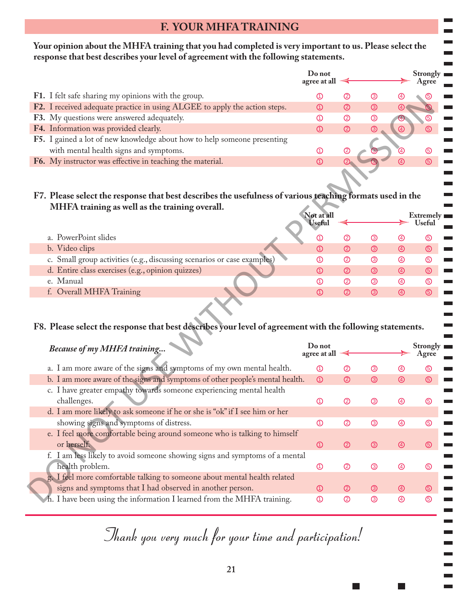### **F. YOUR MHFA TRAINING**

**Your opinion about the MHFA training that you had completed is very important to us. Please select the response that best describes your level of agreement with the following statements.**

|                                                                            | Do not<br>agree at all |               |   |                   | Strongly $\blacksquare$<br>Agree |
|----------------------------------------------------------------------------|------------------------|---------------|---|-------------------|----------------------------------|
| F1. I felt safe sharing my opinions with the group.                        |                        | $\mathcal Q$  |   |                   |                                  |
| F2. I received adequate practice in using ALGEE to apply the action steps. |                        | $^{(2)}$      | 3 |                   |                                  |
| F3. My questions were answered adequately.                                 |                        | $\circled{c}$ | ③ |                   |                                  |
| F4. Information was provided clearly.                                      | (1)                    | (2)           | ദ | 4                 |                                  |
| F5. I gained a lot of new knowledge about how to help someone presenting   |                        |               |   |                   |                                  |
| with mental health signs and symptoms.                                     |                        |               |   | $\left( 4\right)$ |                                  |
| F6. My instructor was effective in teaching the material.                  |                        |               |   | $\overline{A}$    |                                  |
|                                                                            |                        |               |   |                   |                                  |

|                                                                         | <b>Not</b> at all<br><b>Useful</b> |                |     |                   | <b>Extremely</b><br><b>Useful</b> |
|-------------------------------------------------------------------------|------------------------------------|----------------|-----|-------------------|-----------------------------------|
| a. PowerPoint slides                                                    |                                    | $(2)$          | (3) | $\left( 4\right)$ | (5)                               |
| b. Video clips                                                          | <sup>1</sup>                       | $\circledcirc$ | ③   | $^{\circledR}$    | ⑤                                 |
| c. Small group activities (e.g., discussing scenarios or case examples) |                                    | ②              | ③   | ④                 | (5)                               |
| d. Entire class exercises (e.g., opinion quizzes)                       | (1)                                | (2)            | ③   | $\circled{4}$     | <b>(5)</b>                        |
| e. Manual                                                               |                                    | ②              | ③   | ④                 | (5)                               |
| f. Overall MHFA Training                                                |                                    | $\circled{2}$  | 3   | $\circled{4}$     | ⑤                                 |
|                                                                         |                                    |                |     |                   |                                   |

### **F8. Please select the response that best describes your level of agreement with the following statements.**

| <b>F1.</b> I felt safe sharing my opinions with the group.                                                                                                  | U                                           | అ              | Q              |                |                  |
|-------------------------------------------------------------------------------------------------------------------------------------------------------------|---------------------------------------------|----------------|----------------|----------------|------------------|
| F2. I received adequate practice in using ALGEE to apply the action steps.                                                                                  | $^{\circ}$                                  | $\circledcirc$ | $\circledS$    |                |                  |
| F3. My questions were answered adequately.                                                                                                                  | $^{\circledR}$                              | $^{\circledR}$ | ③              |                |                  |
| F4. Information was provided clearly.                                                                                                                       | $^{\circ}$                                  | $\circledcirc$ | (3)            |                | (5)              |
| F5. I gained a lot of new knowledge about how to help someone presenting                                                                                    |                                             |                |                |                |                  |
| with mental health signs and symptoms.                                                                                                                      | $^\copyright$                               |                |                | (4)            | (5)              |
| F6. My instructor was effective in teaching the material.                                                                                                   | $\odot$                                     |                |                | $\circledcirc$ | $\circledS$      |
| F7. Please select the response that best describes the usefulness of various teaching formats used in the<br>MHFA training as well as the training overall. |                                             |                |                |                |                  |
|                                                                                                                                                             | Not at all                                  |                |                |                | <b>Extremely</b> |
|                                                                                                                                                             | <b>Useful</b>                               |                |                |                | <b>Useful</b>    |
| a. PowerPoint slides                                                                                                                                        | ➀                                           | ②              |                | $\circledcirc$ | ⑤                |
| b. Video clips                                                                                                                                              | $^{\circ}$                                  | $\circledcirc$ | $\circledS$    | $\circledA$    | $\circledS$      |
| c. Small group activities (e.g., discussing scenarios or case examples)                                                                                     | $^\copyright$                               | $^{\circledR}$ | $^{\circledR}$ | $^{\circledR}$ | $\circledS$      |
| d. Entire class exercises (e.g., opinion quizzes)                                                                                                           | $^{\circledR}$                              | $\circledcirc$ | $\circledS$    | $\circledcirc$ | $\circledS$      |
| e. Manual                                                                                                                                                   | ➀                                           | $^{\circledR}$ | $^{\circledR}$ | $^{\circledR}$ | ⑤                |
|                                                                                                                                                             |                                             |                | $\circledS$    | $\bigcirc$     | $\circledS$      |
| f. Overall MHFA Training                                                                                                                                    | $\circledcirc$                              | $\circledcirc$ |                |                |                  |
| F8. Please select the response that best describes your level of agreement with the following statements.<br>Because of my MHFA training                    | Do not<br>agree at all $\blacktriangleleft$ |                |                |                | <b>Strongly</b>  |
|                                                                                                                                                             |                                             |                |                |                | Agree            |
| a. I am more aware of the signs and symptoms of my own mental health.                                                                                       | $^\copyright$                               | ➁              | $^{\circledR}$ | $\circledcirc$ | ⑤                |
| b. I am more aware of the signs and symptoms of other people's mental health.                                                                               | $\circledcirc$                              | $\circledcirc$ | $\circledS$    | $\circledA$    | $\circledS$      |
| c. I have greater empathy towards someone experiencing mental health                                                                                        |                                             |                |                |                |                  |
| challenges.                                                                                                                                                 | $^{\circledR}$                              | $^{\circledR}$ | $^{\circledR}$ | $\circledast$  | ⑤                |
| d. I am more likely to ask someone if he or she is "ok" if I see him or her                                                                                 |                                             |                |                |                |                  |
| showing signs and symptoms of distress.                                                                                                                     | $^{\circledR}$                              | $^{\circledR}$ | ☺              | ⊕              | ⑤                |
| e. I feel more comfortable being around someone who is talking to himself                                                                                   |                                             | $^{\circledR}$ |                |                |                  |
| or herself.<br>f. I am less likely to avoid someone showing signs and symptoms of a mental                                                                  | $\odot$                                     |                | $\circledS$    | $\circledcirc$ | $\circledS$      |
| health problem.                                                                                                                                             | $\circledcirc$                              | $^{\circledR}$ | $\circledS$    | $^{\circledR}$ | ⑤                |
| g. I feel more comfortable talking to someone about mental health related                                                                                   |                                             |                |                |                |                  |
| signs and symptoms that I had observed in another person.                                                                                                   | $^\circledR$                                | $^{\circledR}$ | $\circledS$    | $\circledcirc$ | $\circledS$      |
| h. I have been using the information I learned from the MHFA training.                                                                                      | $\circledcirc$                              | $^{\circledR}$ | $\circledS$    | $^{\circledR}$ | $\circledS$      |

*Thank you very much for your time and participation!*